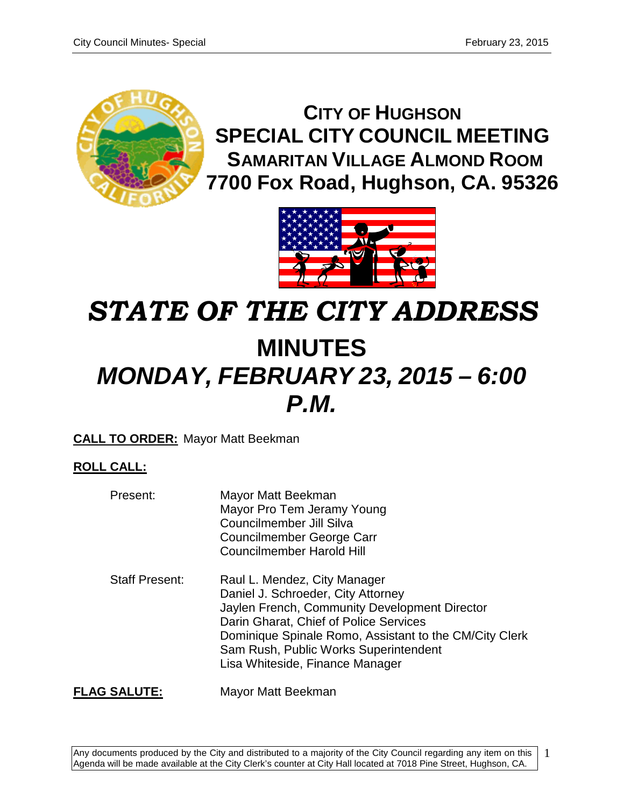

**CITY OF HUGHSON SPECIAL CITY COUNCIL MEETING SAMARITAN VILLAGE ALMOND ROOM 7700 Fox Road, Hughson, CA. 95326**



# *STATE OF THE CITY ADDRESS***MINUTES** *MONDAY, FEBRUARY 23, 2015 – 6:00 P.M.*

# **CALL TO ORDER:** Mayor Matt Beekman

# **ROLL CALL:**

| Present:              | Mayor Matt Beekman<br>Mayor Pro Tem Jeramy Young<br>Councilmember Jill Silva<br>Councilmember George Carr<br><b>Councilmember Harold Hill</b>                                                                                                                                                       |
|-----------------------|-----------------------------------------------------------------------------------------------------------------------------------------------------------------------------------------------------------------------------------------------------------------------------------------------------|
| <b>Staff Present:</b> | Raul L. Mendez, City Manager<br>Daniel J. Schroeder, City Attorney<br>Jaylen French, Community Development Director<br>Darin Gharat, Chief of Police Services<br>Dominique Spinale Romo, Assistant to the CM/City Clerk<br>Sam Rush, Public Works Superintendent<br>Lisa Whiteside, Finance Manager |

**FLAG SALUTE:** Mayor Matt Beekman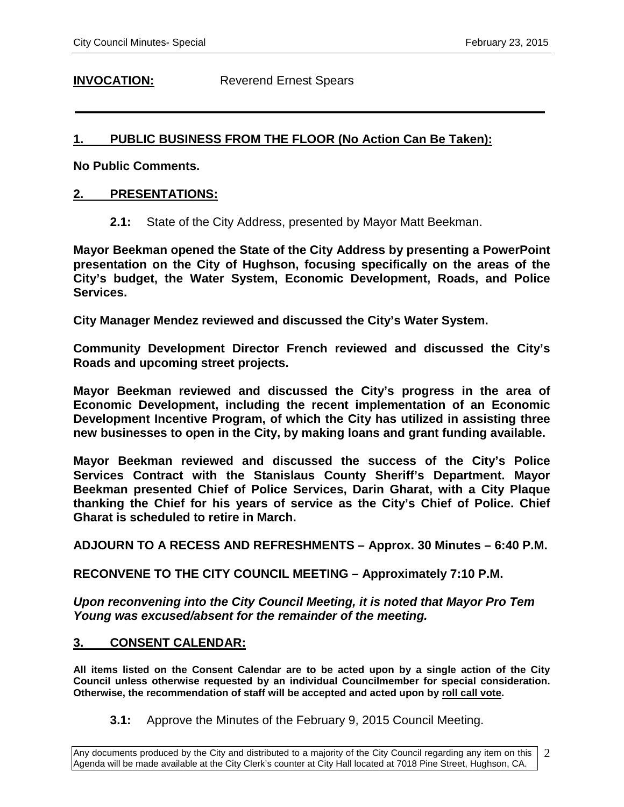**INVOCATION:** Reverend Ernest Spears

# **1. PUBLIC BUSINESS FROM THE FLOOR (No Action Can Be Taken):**

**No Public Comments.** 

## **2. PRESENTATIONS:**

**2.1:** State of the City Address, presented by Mayor Matt Beekman.

**Mayor Beekman opened the State of the City Address by presenting a PowerPoint presentation on the City of Hughson, focusing specifically on the areas of the City's budget, the Water System, Economic Development, Roads, and Police Services.** 

**City Manager Mendez reviewed and discussed the City's Water System.** 

**Community Development Director French reviewed and discussed the City's Roads and upcoming street projects.** 

**Mayor Beekman reviewed and discussed the City's progress in the area of Economic Development, including the recent implementation of an Economic Development Incentive Program, of which the City has utilized in assisting three new businesses to open in the City, by making loans and grant funding available.** 

**Mayor Beekman reviewed and discussed the success of the City's Police Services Contract with the Stanislaus County Sheriff's Department. Mayor Beekman presented Chief of Police Services, Darin Gharat, with a City Plaque thanking the Chief for his years of service as the City's Chief of Police. Chief Gharat is scheduled to retire in March.** 

**ADJOURN TO A RECESS AND REFRESHMENTS – Approx. 30 Minutes – 6:40 P.M.**

**RECONVENE TO THE CITY COUNCIL MEETING – Approximately 7:10 P.M.**

*Upon reconvening into the City Council Meeting, it is noted that Mayor Pro Tem Young was excused/absent for the remainder of the meeting.*

## **3. CONSENT CALENDAR:**

**All items listed on the Consent Calendar are to be acted upon by a single action of the City Council unless otherwise requested by an individual Councilmember for special consideration. Otherwise, the recommendation of staff will be accepted and acted upon by roll call vote.**

**3.1:** Approve the Minutes of the February 9, 2015 Council Meeting.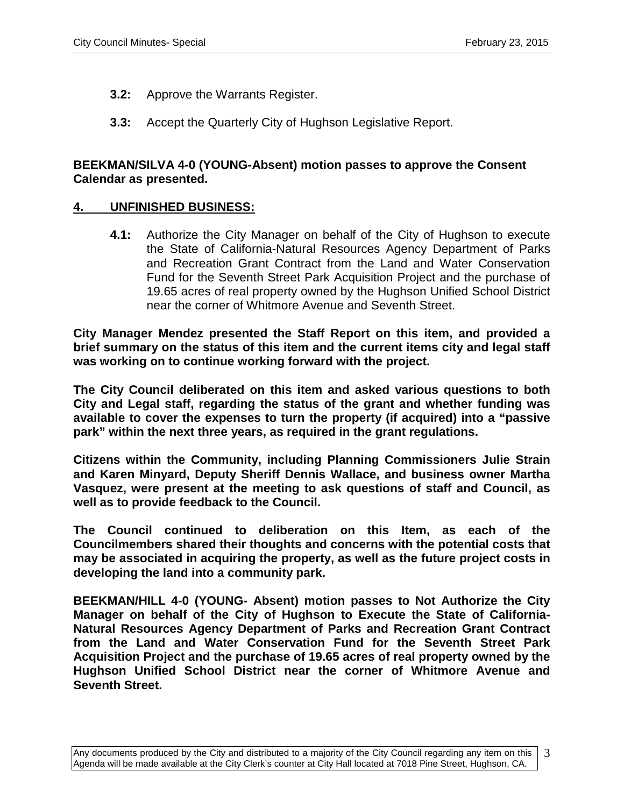- **3.2:** Approve the Warrants Register.
- **3.3:** Accept the Quarterly City of Hughson Legislative Report.

# **BEEKMAN/SILVA 4-0 (YOUNG-Absent) motion passes to approve the Consent Calendar as presented.**

# **4. UNFINISHED BUSINESS:**

**4.1:** Authorize the City Manager on behalf of the City of Hughson to execute the State of California-Natural Resources Agency Department of Parks and Recreation Grant Contract from the Land and Water Conservation Fund for the Seventh Street Park Acquisition Project and the purchase of 19.65 acres of real property owned by the Hughson Unified School District near the corner of Whitmore Avenue and Seventh Street.

**City Manager Mendez presented the Staff Report on this item, and provided a brief summary on the status of this item and the current items city and legal staff was working on to continue working forward with the project.**

**The City Council deliberated on this item and asked various questions to both City and Legal staff, regarding the status of the grant and whether funding was available to cover the expenses to turn the property (if acquired) into a "passive park" within the next three years, as required in the grant regulations.** 

**Citizens within the Community, including Planning Commissioners Julie Strain and Karen Minyard, Deputy Sheriff Dennis Wallace, and business owner Martha Vasquez, were present at the meeting to ask questions of staff and Council, as well as to provide feedback to the Council.** 

**The Council continued to deliberation on this Item, as each of the Councilmembers shared their thoughts and concerns with the potential costs that may be associated in acquiring the property, as well as the future project costs in developing the land into a community park.** 

**BEEKMAN/HILL 4-0 (YOUNG- Absent) motion passes to Not Authorize the City Manager on behalf of the City of Hughson to Execute the State of California-Natural Resources Agency Department of Parks and Recreation Grant Contract from the Land and Water Conservation Fund for the Seventh Street Park Acquisition Project and the purchase of 19.65 acres of real property owned by the Hughson Unified School District near the corner of Whitmore Avenue and Seventh Street.**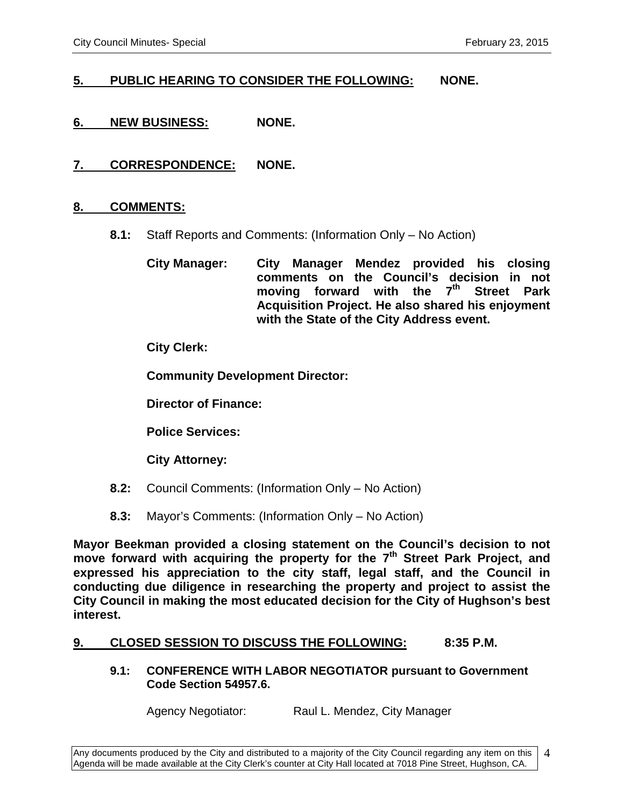# **5. PUBLIC HEARING TO CONSIDER THE FOLLOWING: NONE.**

- **6. NEW BUSINESS: NONE.**
- **7. CORRESPONDENCE: NONE.**

## **8. COMMENTS:**

**8.1:** Staff Reports and Comments: (Information Only – No Action)

**City Manager: City Manager Mendez provided his closing comments on the Council's decision in not moving forward with the 7th Street Park Acquisition Project. He also shared his enjoyment with the State of the City Address event.** 

**City Clerk:**

**Community Development Director:**

**Director of Finance:**

**Police Services:**

**City Attorney:**

- **8.2:** Council Comments: (Information Only No Action)
- **8.3:** Mayor's Comments: (Information Only No Action)

**Mayor Beekman provided a closing statement on the Council's decision to not move forward with acquiring the property for the 7th Street Park Project, and expressed his appreciation to the city staff, legal staff, and the Council in conducting due diligence in researching the property and project to assist the City Council in making the most educated decision for the City of Hughson's best interest.** 

## **9. CLOSED SESSION TO DISCUSS THE FOLLOWING: 8:35 P.M.**

#### **9.1: CONFERENCE WITH LABOR NEGOTIATOR pursuant to Government Code Section 54957.6.**

Agency Negotiator: Raul L. Mendez, City Manager

4